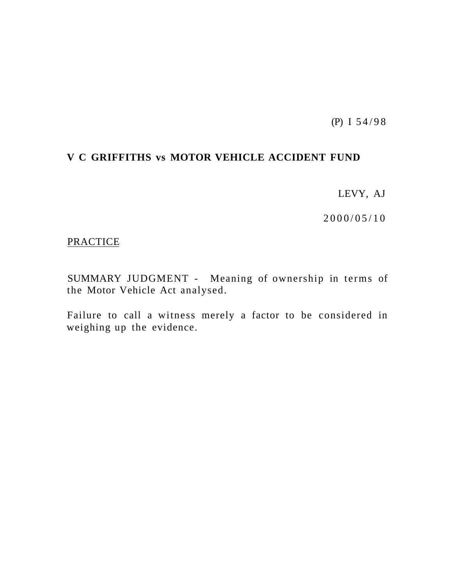(P) I 54/9 8

# **V C GRIFFITHS vs MOTOR VEHICLE ACCIDENT FUND**

LEVY, AJ

 $2000/05/10$ 

# **PRACTICE**

SUMMARY JUDGMENT - Meaning of ownership in terms of the Motor Vehicle Act analysed.

Failure to call a witness merely a factor to be considered in weighing up the evidence.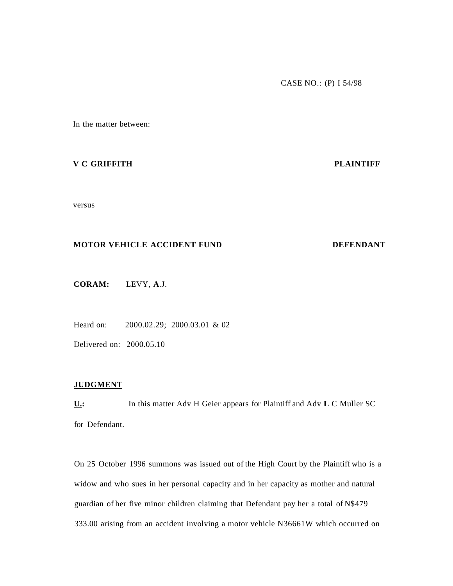In the matter between:

#### **V C GRIFFITH PLAINTIFF**

versus

## **MOTOR VEHICLE ACCIDENT FUND DEFENDANT**

**CORAM:** LEVY, **A**.J.

Heard on: 2000.02.29; 2000.03.01 & 02

Delivered on: 2000.05.10

#### **JUDGMENT**

**U.:** In this matter Adv H Geier appears for Plaintiff and Adv **L** C Muller SC for Defendant.

On 25 October 1996 summons was issued out of the High Court by the Plaintiff who is a widow and who sues in her personal capacity and in her capacity as mother and natural guardian of her five minor children claiming that Defendant pay her a total of N\$479 333.00 arising from an accident involving a motor vehicle N36661W which occurred on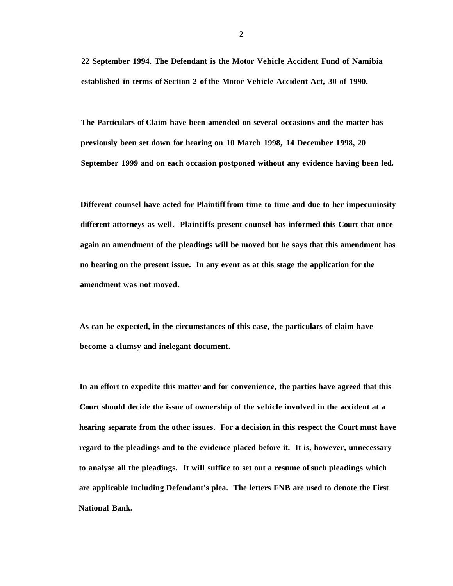**22 September 1994. The Defendant is the Motor Vehicle Accident Fund of Namibia established in terms of Section 2 of the Motor Vehicle Accident Act, 30 of 1990.** 

**The Particulars of Claim have been amended on several occasions and the matter has previously been set down for hearing on 10 March 1998, 14 December 1998, 20 September 1999 and on each occasion postponed without any evidence having been led.** 

**Different counsel have acted for Plaintiff from time to time and due to her impecuniosity different attorneys as well. Plaintiffs present counsel has informed this Court that once again an amendment of the pleadings will be moved but he says that this amendment has no bearing on the present issue. In any event as at this stage the application for the amendment was not moved.** 

**As can be expected, in the circumstances of this case, the particulars of claim have become a clumsy and inelegant document.** 

**In an effort to expedite this matter and for convenience, the parties have agreed that this Court should decide the issue of ownership of the vehicle involved in the accident at a hearing separate from the other issues. For a decision in this respect the Court must have regard to the pleadings and to the evidence placed before it. It is, however, unnecessary to analyse all the pleadings. It will suffice to set out a resume of such pleadings which are applicable including Defendant's plea. The letters FNB are used to denote the First National Bank.**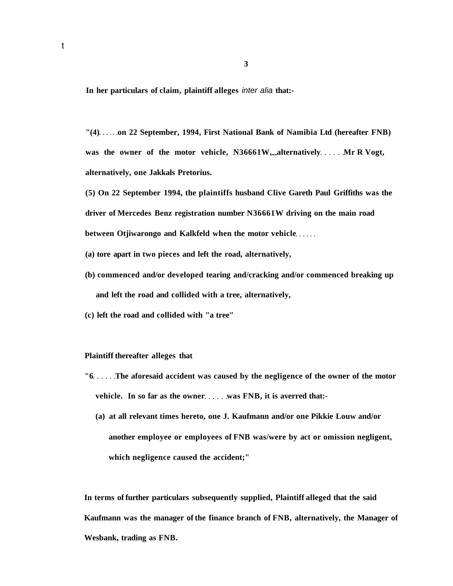**In her particulars of claim, plaintiff alleges** inter alia **that:-**

**"(4) on 22 September, 1994, First National Bank of Namibia Ltd (hereafter FNB)**  was the owner of the motor vehicle, N36661W, alternatively Mr R Vogt, **alternatively, one Jakkals Pretorius.** 

**(5) On 22 September 1994, the plaintiffs husband Clive Gareth Paul Griffiths was the driver of Mercedes Benz registration number N36661W driving on the main road between Otjiwarongo and Kalkfeld when the motor vehicle** 

- **(a) tore apart in two pieces and left the road, alternatively,**
- **(b) commenced and/or developed tearing and/cracking and/or commenced breaking up and left the road and collided with a tree, alternatively,**
- **(c) left the road and collided with "a tree"**

#### **Plaintiff thereafter alleges that**

- **"6....** The aforesaid accident was caused by the negligence of the owner of the motor vehicle. In so far as the owner was FNB, it is averred that:-
	- **(a) at all relevant times hereto, one J. Kaufmann and/or one Pikkie Louw and/or another employee or employees of FNB was/were by act or omission negligent, which negligence caused the accident;"**

**In terms of further particulars subsequently supplied, Plaintiff alleged that the said Kaufmann was the manager of the finance branch of FNB, alternatively, the Manager of Wesbank, trading as FNB.**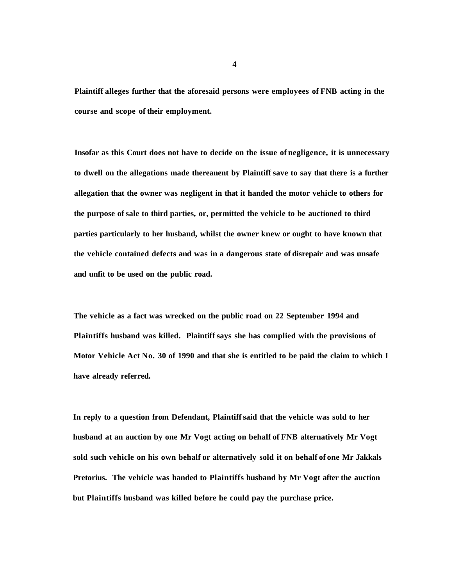**Plaintiff alleges further that the aforesaid persons were employees of FNB acting in the course and scope of their employment.** 

**Insofar as this Court does not have to decide on the issue of negligence, it is unnecessary to dwell on the allegations made thereanent by Plaintiff save to say that there is a further allegation that the owner was negligent in that it handed the motor vehicle to others for the purpose of sale to third parties, or, permitted the vehicle to be auctioned to third parties particularly to her husband, whilst the owner knew or ought to have known that the vehicle contained defects and was in a dangerous state of disrepair and was unsafe and unfit to be used on the public road.** 

**The vehicle as a fact was wrecked on the public road on 22 September 1994 and Plaintiffs husband was killed. Plaintiff says she has complied with the provisions of Motor Vehicle Act No. 30 of 1990 and that she is entitled to be paid the claim to which I have already referred.** 

**In reply to a question from Defendant, Plaintiff said that the vehicle was sold to her husband at an auction by one Mr Vogt acting on behalf of FNB alternatively Mr Vogt sold such vehicle on his own behalf or alternatively sold it on behalf of one Mr Jakkals Pretorius. The vehicle was handed to Plaintiffs husband by Mr Vogt after the auction but Plaintiffs husband was killed before he could pay the purchase price.** 

**4**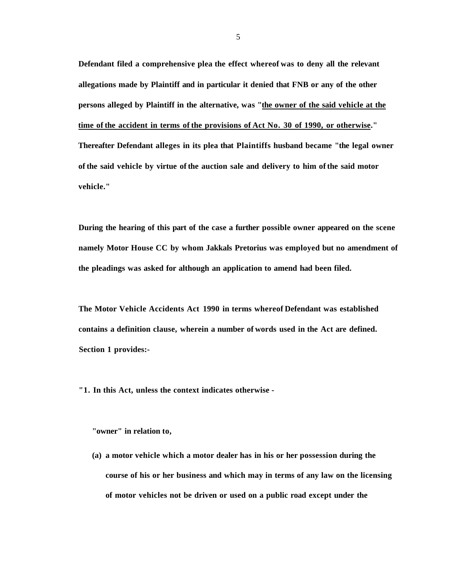**Defendant filed a comprehensive plea the effect whereof was to deny all the relevant allegations made by Plaintiff and in particular it denied that FNB or any of the other persons alleged by Plaintiff in the alternative, was "the owner of the said vehicle at the time of the accident in terms of the provisions of Act No. 30 of 1990, or otherwise." Thereafter Defendant alleges in its plea that Plaintiffs husband became "the legal owner of the said vehicle by virtue of the auction sale and delivery to him of the said motor vehicle."** 

**During the hearing of this part of the case a further possible owner appeared on the scene namely Motor House CC by whom Jakkals Pretorius was employed but no amendment of the pleadings was asked for although an application to amend had been filed.** 

**The Motor Vehicle Accidents Act 1990 in terms whereof Defendant was established contains a definition clause, wherein a number of words used in the Act are defined. Section 1 provides:-**

**"1. In this Act, unless the context indicates otherwise -**

**"owner" in relation to,** 

**(a) a motor vehicle which a motor dealer has in his or her possession during the course of his or her business and which may in terms of any law on the licensing of motor vehicles not be driven or used on a public road except under the**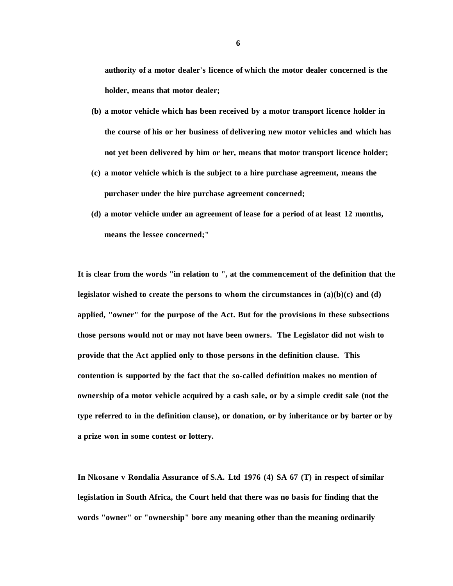**authority of a motor dealer's licence of which the motor dealer concerned is the holder, means that motor dealer;** 

- **(b) a motor vehicle which has been received by a motor transport licence holder in the course of his or her business of delivering new motor vehicles and which has not yet been delivered by him or her, means that motor transport licence holder;**
- **(c) a motor vehicle which is the subject to a hire purchase agreement, means the purchaser under the hire purchase agreement concerned;**
- **(d) a motor vehicle under an agreement of lease for a period of at least 12 months, means the lessee concerned;"**

**It is clear from the words "in relation to ", at the commencement of the definition that the legislator wished to create the persons to whom the circumstances in (a)(b)(c) and (d) applied, "owner" for the purpose of the Act. But for the provisions in these subsections those persons would not or may not have been owners. The Legislator did not wish to provide that the Act applied only to those persons in the definition clause. This contention is supported by the fact that the so-called definition makes no mention of ownership of a motor vehicle acquired by a cash sale, or by a simple credit sale (not the type referred to in the definition clause), or donation, or by inheritance or by barter or by a prize won in some contest or lottery.** 

**In Nkosane v Rondalia Assurance of S.A. Ltd 1976 (4) SA 67 (T) in respect of similar legislation in South Africa, the Court held that there was no basis for finding that the words "owner" or "ownership" bore any meaning other than the meaning ordinarily**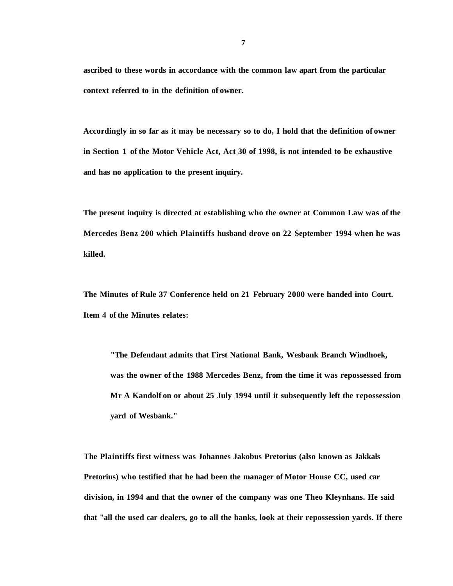**ascribed to these words in accordance with the common law apart from the particular context referred to in the definition of owner.** 

**Accordingly in so far as it may be necessary so to do, I hold that the definition of owner in Section 1 of the Motor Vehicle Act, Act 30 of 1998, is not intended to be exhaustive and has no application to the present inquiry.** 

**The present inquiry is directed at establishing who the owner at Common Law was of the Mercedes Benz 200 which Plaintiffs husband drove on 22 September 1994 when he was killed.** 

**The Minutes of Rule 37 Conference held on 21 February 2000 were handed into Court. Item 4 of the Minutes relates:** 

**"The Defendant admits that First National Bank, Wesbank Branch Windhoek, was the owner of the 1988 Mercedes Benz, from the time it was repossessed from Mr A Kandolf on or about 25 July 1994 until it subsequently left the repossession yard of Wesbank."** 

**The Plaintiffs first witness was Johannes Jakobus Pretorius (also known as Jakkals Pretorius) who testified that he had been the manager of Motor House CC, used car division, in 1994 and that the owner of the company was one Theo Kleynhans. He said that "all the used car dealers, go to all the banks, look at their repossession yards. If there**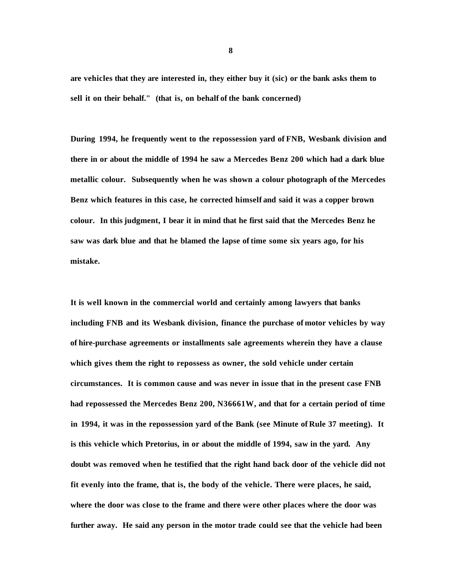**are vehicles that they are interested in, they either buy it (sic) or the bank asks them to sell it on their behalf." (that is, on behalf of the bank concerned)** 

**During 1994, he frequently went to the repossession yard of FNB, Wesbank division and there in or about the middle of 1994 he saw a Mercedes Benz 200 which had a dark blue metallic colour. Subsequently when he was shown a colour photograph of the Mercedes Benz which features in this case, he corrected himself and said it was a copper brown colour. In this judgment, I bear it in mind that he first said that the Mercedes Benz he saw was dark blue and that he blamed the lapse of time some six years ago, for his mistake.** 

**It is well known in the commercial world and certainly among lawyers that banks including FNB and its Wesbank division, finance the purchase of motor vehicles by way of hire-purchase agreements or installments sale agreements wherein they have a clause which gives them the right to repossess as owner, the sold vehicle under certain circumstances. It is common cause and was never in issue that in the present case FNB had repossessed the Mercedes Benz 200, N36661W, and that for a certain period of time in 1994, it was in the repossession yard of the Bank (see Minute of Rule 37 meeting). It is this vehicle which Pretorius, in or about the middle of 1994, saw in the yard. Any doubt was removed when he testified that the right hand back door of the vehicle did not fit evenly into the frame, that is, the body of the vehicle. There were places, he said, where the door was close to the frame and there were other places where the door was further away. He said any person in the motor trade could see that the vehicle had been** 

**8**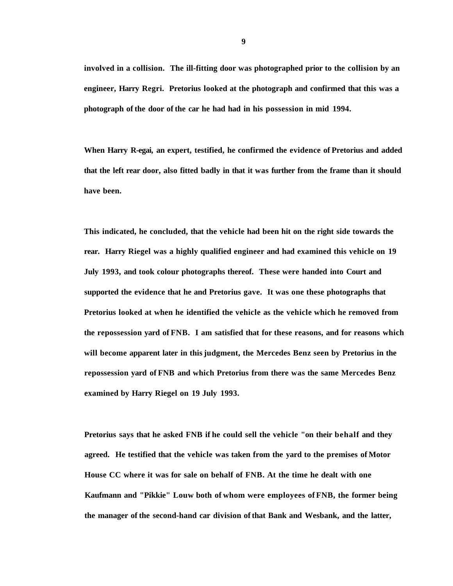**involved in a collision. The ill-fitting door was photographed prior to the collision by an engineer, Harry Regri. Pretorius looked at the photograph and confirmed that this was a photograph of the door of the car he had had in his possession in mid 1994.** 

**When Harry R-egai, an expert, testified, he confirmed the evidence of Pretorius and added that the left rear door, also fitted badly in that it was further from the frame than it should have been.** 

**This indicated, he concluded, that the vehicle had been hit on the right side towards the rear. Harry Riegel was a highly qualified engineer and had examined this vehicle on 19 July 1993, and took colour photographs thereof. These were handed into Court and supported the evidence that he and Pretorius gave. It was one these photographs that Pretorius looked at when he identified the vehicle as the vehicle which he removed from the repossession yard of FNB. I am satisfied that for these reasons, and for reasons which will become apparent later in this judgment, the Mercedes Benz seen by Pretorius in the repossession yard of FNB and which Pretorius from there was the same Mercedes Benz examined by Harry Riegel on 19 July 1993.** 

**Pretorius says that he asked FNB if he could sell the vehicle "on their behalf and they agreed. He testified that the vehicle was taken from the yard to the premises of Motor House CC where it was for sale on behalf of FNB. At the time he dealt with one Kaufmann and "Pikkie" Louw both of whom were employees of FNB, the former being the manager of the second-hand car division of that Bank and Wesbank, and the latter,**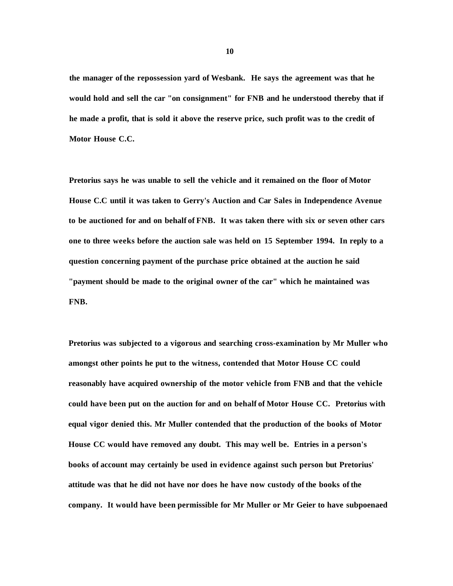**the manager of the repossession yard of Wesbank. He says the agreement was that he would hold and sell the car "on consignment" for FNB and he understood thereby that if he made a profit, that is sold it above the reserve price, such profit was to the credit of Motor House C.C.** 

**Pretorius says he was unable to sell the vehicle and it remained on the floor of Motor House C.C until it was taken to Gerry's Auction and Car Sales in Independence Avenue to be auctioned for and on behalf of FNB. It was taken there with six or seven other cars one to three weeks before the auction sale was held on 15 September 1994. In reply to a question concerning payment of the purchase price obtained at the auction he said "payment should be made to the original owner of the car" which he maintained was FNB.** 

**Pretorius was subjected to a vigorous and searching cross-examination by Mr Muller who amongst other points he put to the witness, contended that Motor House CC could reasonably have acquired ownership of the motor vehicle from FNB and that the vehicle could have been put on the auction for and on behalf of Motor House CC. Pretorius with equal vigor denied this. Mr Muller contended that the production of the books of Motor House CC would have removed any doubt. This may well be. Entries in a person's books of account may certainly be used in evidence against such person but Pretorius' attitude was that he did not have nor does he have now custody of the books of the company. It would have been permissible for Mr Muller or Mr Geier to have subpoenaed**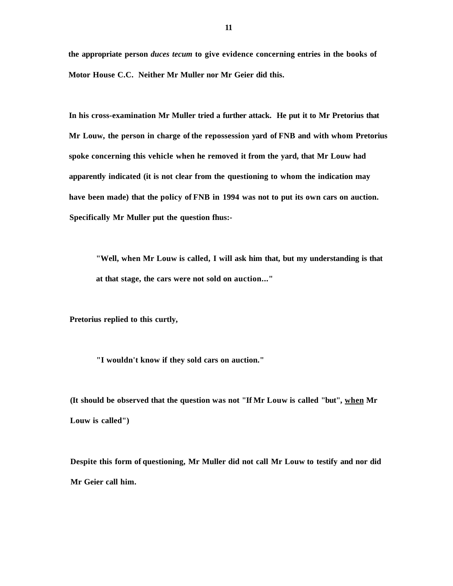**the appropriate person** *duces tecum* **to give evidence concerning entries in the books of Motor House C.C. Neither Mr Muller nor Mr Geier did this.** 

**In his cross-examination Mr Muller tried a further attack. He put it to Mr Pretorius that Mr Louw, the person in charge of the repossession yard of FNB and with whom Pretorius spoke concerning this vehicle when he removed it from the yard, that Mr Louw had apparently indicated (it is not clear from the questioning to whom the indication may have been made) that the policy of FNB in 1994 was not to put its own cars on auction. Specifically Mr Muller put the question fhus:-**

**"Well, when Mr Louw is called, I will ask him that, but my understanding is that at that stage, the cars were not sold on auction..."** 

**Pretorius replied to this curtly,** 

**"I wouldn't know if they sold cars on auction."** 

**(It should be observed that the question was not "If Mr Louw is called "but", when Mr Louw is called")** 

**Despite this form of questioning, Mr Muller did not call Mr Louw to testify and nor did Mr Geier call him.**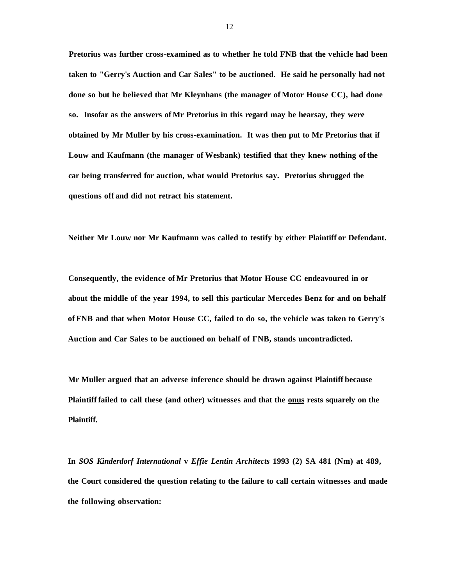**Pretorius was further cross-examined as to whether he told FNB that the vehicle had been taken to "Gerry's Auction and Car Sales" to be auctioned. He said he personally had not done so but he believed that Mr Kleynhans (the manager of Motor House CC), had done so. Insofar as the answers of Mr Pretorius in this regard may be hearsay, they were obtained by Mr Muller by his cross-examination. It was then put to Mr Pretorius that if Louw and Kaufmann (the manager of Wesbank) testified that they knew nothing of the car being transferred for auction, what would Pretorius say. Pretorius shrugged the questions off and did not retract his statement.** 

**Neither Mr Louw nor Mr Kaufmann was called to testify by either Plaintiff or Defendant.** 

**Consequently, the evidence of Mr Pretorius that Motor House CC endeavoured in or about the middle of the year 1994, to sell this particular Mercedes Benz for and on behalf of FNB and that when Motor House CC, failed to do so, the vehicle was taken to Gerry's Auction and Car Sales to be auctioned on behalf of FNB, stands uncontradicted.** 

**Mr Muller argued that an adverse inference should be drawn against Plaintiff because Plaintiff failed to call these (and other) witnesses and that the onus rests squarely on the Plaintiff.** 

**In** *SOS Kinderdorf International* **v** *Effie Lentin Architects* **1993 (2) SA 481 (Nm) at 489, the Court considered the question relating to the failure to call certain witnesses and made the following observation:**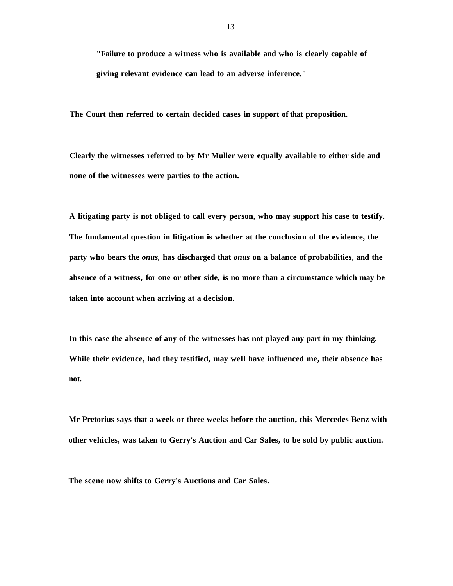**"Failure to produce a witness who is available and who is clearly capable of giving relevant evidence can lead to an adverse inference."** 

**The Court then referred to certain decided cases in support of that proposition.** 

**Clearly the witnesses referred to by Mr Muller were equally available to either side and none of the witnesses were parties to the action.** 

**A litigating party is not obliged to call every person, who may support his case to testify. The fundamental question in litigation is whether at the conclusion of the evidence, the party who bears the** *onus,* **has discharged that** *onus* **on a balance of probabilities, and the absence of a witness, for one or other side, is no more than a circumstance which may be taken into account when arriving at a decision.** 

**In this case the absence of any of the witnesses has not played any part in my thinking. While their evidence, had they testified, may well have influenced me, their absence has not.** 

**Mr Pretorius says that a week or three weeks before the auction, this Mercedes Benz with other vehicles, was taken to Gerry's Auction and Car Sales, to be sold by public auction.** 

**The scene now shifts to Gerry's Auctions and Car Sales.**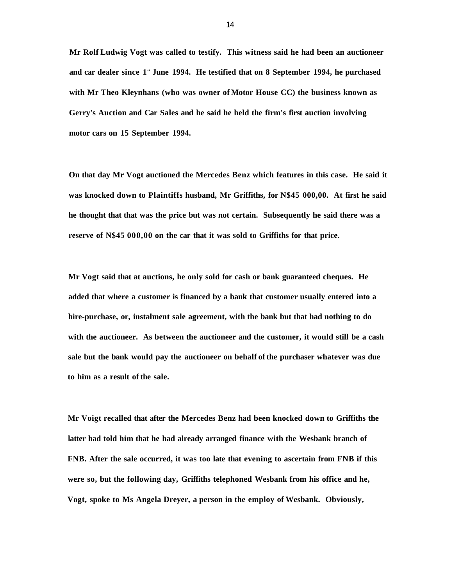**Mr Rolf Ludwig Vogt was called to testify. This witness said he had been an auctioneer and car dealer since 1<sup>s</sup> <sup>t</sup> June 1994. He testified that on 8 September 1994, he purchased with Mr Theo Kleynhans (who was owner of Motor House CC) the business known as Gerry's Auction and Car Sales and he said he held the firm's first auction involving motor cars on 15 September 1994.** 

**On that day Mr Vogt auctioned the Mercedes Benz which features in this case. He said it was knocked down to Plaintiffs husband, Mr Griffiths, for N\$45 000,00. At first he said he thought that that was the price but was not certain. Subsequently he said there was a reserve of N\$45 000,00 on the car that it was sold to Griffiths for that price.** 

**Mr Vogt said that at auctions, he only sold for cash or bank guaranteed cheques. He added that where a customer is financed by a bank that customer usually entered into a hire-purchase, or, instalment sale agreement, with the bank but that had nothing to do with the auctioneer. As between the auctioneer and the customer, it would still be a cash sale but the bank would pay the auctioneer on behalf of the purchaser whatever was due to him as a result of the sale.** 

**Mr Voigt recalled that after the Mercedes Benz had been knocked down to Griffiths the latter had told him that he had already arranged finance with the Wesbank branch of FNB. After the sale occurred, it was too late that evening to ascertain from FNB if this were so, but the following day, Griffiths telephoned Wesbank from his office and he, Vogt, spoke to Ms Angela Dreyer, a person in the employ of Wesbank. Obviously,**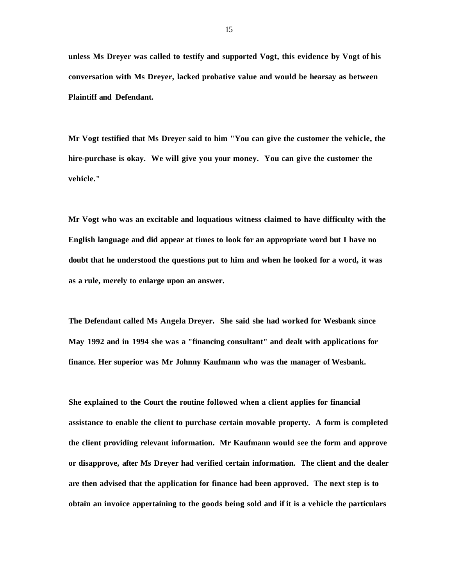**unless Ms Dreyer was called to testify and supported Vogt, this evidence by Vogt of his conversation with Ms Dreyer, lacked probative value and would be hearsay as between Plaintiff and Defendant.** 

**Mr Vogt testified that Ms Dreyer said to him "You can give the customer the vehicle, the hire-purchase is okay. We will give you your money. You can give the customer the vehicle."** 

**Mr Vogt who was an excitable and loquatious witness claimed to have difficulty with the English language and did appear at times to look for an appropriate word but I have no doubt that he understood the questions put to him and when he looked for a word, it was as a rule, merely to enlarge upon an answer.** 

**The Defendant called Ms Angela Dreyer. She said she had worked for Wesbank since May 1992 and in 1994 she was a "financing consultant" and dealt with applications for finance. Her superior was Mr Johnny Kaufmann who was the manager of Wesbank.** 

**She explained to the Court the routine followed when a client applies for financial assistance to enable the client to purchase certain movable property. A form is completed the client providing relevant information. Mr Kaufmann would see the form and approve or disapprove, after Ms Dreyer had verified certain information. The client and the dealer are then advised that the application for finance had been approved. The next step is to obtain an invoice appertaining to the goods being sold and if it is a vehicle the particulars**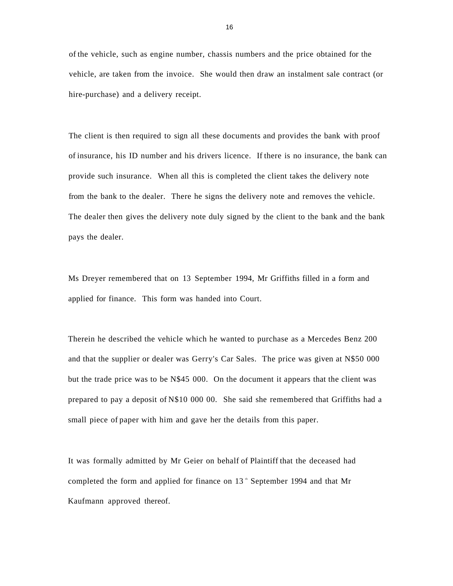of the vehicle, such as engine number, chassis numbers and the price obtained for the vehicle, are taken from the invoice. She would then draw an instalment sale contract (or hire-purchase) and a delivery receipt.

The client is then required to sign all these documents and provides the bank with proof of insurance, his ID number and his drivers licence. If there is no insurance, the bank can provide such insurance. When all this is completed the client takes the delivery note from the bank to the dealer. There he signs the delivery note and removes the vehicle. The dealer then gives the delivery note duly signed by the client to the bank and the bank pays the dealer.

Ms Dreyer remembered that on 13 September 1994, Mr Griffiths filled in a form and applied for finance. This form was handed into Court.

Therein he described the vehicle which he wanted to purchase as a Mercedes Benz 200 and that the supplier or dealer was Gerry's Car Sales. The price was given at N\$50 000 but the trade price was to be N\$45 000. On the document it appears that the client was prepared to pay a deposit of N\$10 000 00. She said she remembered that Griffiths had a small piece of paper with him and gave her the details from this paper.

It was formally admitted by Mr Geier on behalf of Plaintiff that the deceased had completed the form and applied for finance on  $13$   $\degree$  September 1994 and that Mr Kaufmann approved thereof.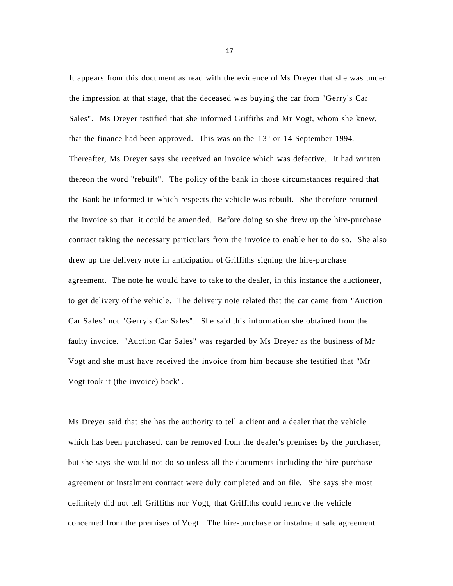It appears from this document as read with the evidence of Ms Dreyer that she was under the impression at that stage, that the deceased was buying the car from "Gerry's Car Sales". Ms Dreyer testified that she informed Griffiths and Mr Vogt, whom she knew, that the finance had been approved. This was on the  $13<sup>h</sup>$  or 14 September 1994. Thereafter, Ms Dreyer says she received an invoice which was defective. It had written thereon the word "rebuilt". The policy of the bank in those circumstances required that the Bank be informed in which respects the vehicle was rebuilt. She therefore returned the invoice so that it could be amended. Before doing so she drew up the hire-purchase contract taking the necessary particulars from the invoice to enable her to do so. She also drew up the delivery note in anticipation of Griffiths signing the hire-purchase agreement. The note he would have to take to the dealer, in this instance the auctioneer, to get delivery of the vehicle. The delivery note related that the car came from "Auction Car Sales" not "Gerry's Car Sales". She said this information she obtained from the faulty invoice. "Auction Car Sales" was regarded by Ms Dreyer as the business of Mr Vogt and she must have received the invoice from him because she testified that "Mr Vogt took it (the invoice) back".

Ms Dreyer said that she has the authority to tell a client and a dealer that the vehicle which has been purchased, can be removed from the dealer's premises by the purchaser, but she says she would not do so unless all the documents including the hire-purchase agreement or instalment contract were duly completed and on file. She says she most definitely did not tell Griffiths nor Vogt, that Griffiths could remove the vehicle concerned from the premises of Vogt. The hire-purchase or instalment sale agreement

17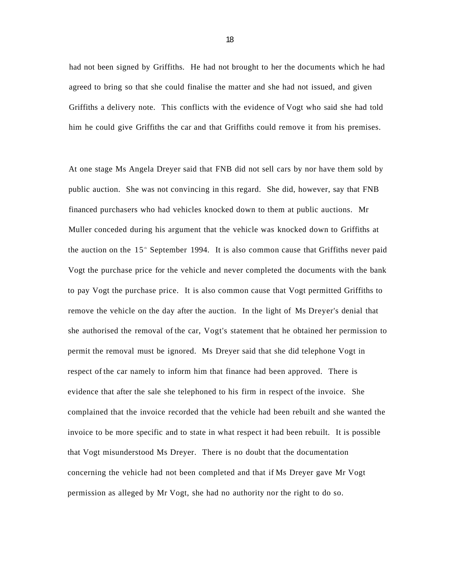had not been signed by Griffiths. He had not brought to her the documents which he had agreed to bring so that she could finalise the matter and she had not issued, and given Griffiths a delivery note. This conflicts with the evidence of Vogt who said she had told him he could give Griffiths the car and that Griffiths could remove it from his premises.

At one stage Ms Angela Dreyer said that FNB did not sell cars by nor have them sold by public auction. She was not convincing in this regard. She did, however, say that FNB financed purchasers who had vehicles knocked down to them at public auctions. Mr Muller conceded during his argument that the vehicle was knocked down to Griffiths at the auction on the  $15<sup>th</sup>$  September 1994. It is also common cause that Griffiths never paid Vogt the purchase price for the vehicle and never completed the documents with the bank to pay Vogt the purchase price. It is also common cause that Vogt permitted Griffiths to remove the vehicle on the day after the auction. In the light of Ms Dreyer's denial that she authorised the removal of the car, Vogt's statement that he obtained her permission to permit the removal must be ignored. Ms Dreyer said that she did telephone Vogt in respect of the car namely to inform him that finance had been approved. There is evidence that after the sale she telephoned to his firm in respect of the invoice. She complained that the invoice recorded that the vehicle had been rebuilt and she wanted the invoice to be more specific and to state in what respect it had been rebuilt. It is possible that Vogt misunderstood Ms Dreyer. There is no doubt that the documentation concerning the vehicle had not been completed and that if Ms Dreyer gave Mr Vogt permission as alleged by Mr Vogt, she had no authority nor the right to do so.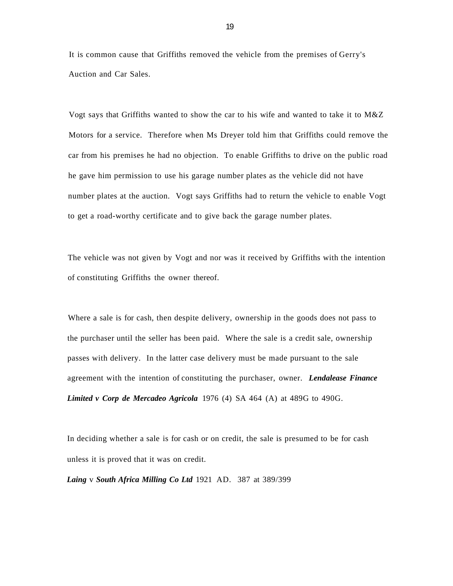It is common cause that Griffiths removed the vehicle from the premises of Gerry's Auction and Car Sales.

Vogt says that Griffiths wanted to show the car to his wife and wanted to take it to M&Z Motors for a service. Therefore when Ms Dreyer told him that Griffiths could remove the car from his premises he had no objection. To enable Griffiths to drive on the public road he gave him permission to use his garage number plates as the vehicle did not have number plates at the auction. Vogt says Griffiths had to return the vehicle to enable Vogt to get a road-worthy certificate and to give back the garage number plates.

The vehicle was not given by Vogt and nor was it received by Griffiths with the intention of constituting Griffiths the owner thereof.

Where a sale is for cash, then despite delivery, ownership in the goods does not pass to the purchaser until the seller has been paid. Where the sale is a credit sale, ownership passes with delivery. In the latter case delivery must be made pursuant to the sale agreement with the intention of constituting the purchaser, owner. *Lendalease Finance Limited v Corp de Mercadeo Agricola* 1976 (4) SA 464 (A) at 489G to 490G.

In deciding whether a sale is for cash or on credit, the sale is presumed to be for cash unless it is proved that it was on credit.

*Laing* v *South Africa Milling Co Ltd* 1921 AD. 387 at 389/399

19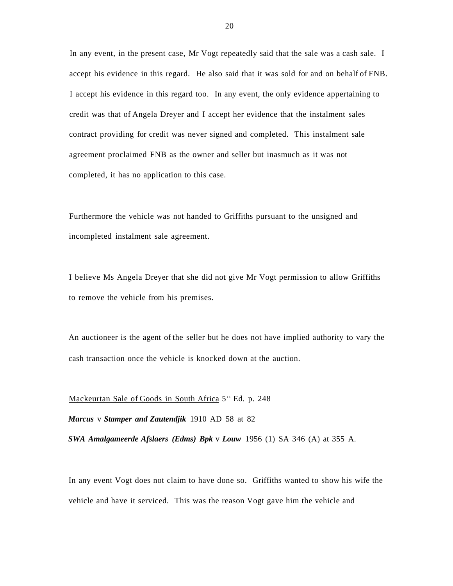In any event, in the present case, Mr Vogt repeatedly said that the sale was a cash sale. I accept his evidence in this regard. He also said that it was sold for and on behalf of FNB. I accept his evidence in this regard too. In any event, the only evidence appertaining to credit was that of Angela Dreyer and I accept her evidence that the instalment sales contract providing for credit was never signed and completed. This instalment sale agreement proclaimed FNB as the owner and seller but inasmuch as it was not completed, it has no application to this case.

Furthermore the vehicle was not handed to Griffiths pursuant to the unsigned and incompleted instalment sale agreement.

I believe Ms Angela Dreyer that she did not give Mr Vogt permission to allow Griffiths to remove the vehicle from his premises.

An auctioneer is the agent of the seller but he does not have implied authority to vary the cash transaction once the vehicle is knocked down at the auction.

Mackeurtan Sale of Goods in South Africa 5<sup>th</sup> Ed. p. 248

*Marcus* v *Stamper and Zautendjik* 1910 AD 58 at 82

*SWA Amalgameerde Afslaers (Edms) Bpk* v *Louw* 1956 (1) SA 346 (A) at 355 A.

In any event Vogt does not claim to have done so. Griffiths wanted to show his wife the vehicle and have it serviced. This was the reason Vogt gave him the vehicle and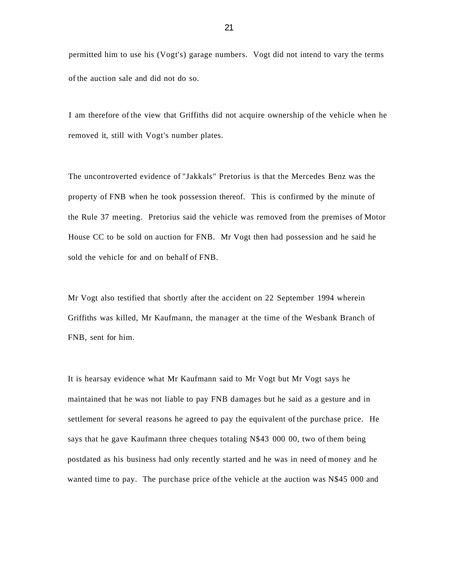permitted him to use his (Vogt's) garage numbers. Vogt did not intend to vary the terms of the auction sale and did not do so.

I am therefore of the view that Griffiths did not acquire ownership of the vehicle when he removed it, still with Vogt's number plates.

The uncontroverted evidence of "Jakkals" Pretorius is that the Mercedes Benz was the property of FNB when he took possession thereof. This is confirmed by the minute of the Rule 37 meeting. Pretorius said the vehicle was removed from the premises of Motor House CC to be sold on auction for FNB. Mr Vogt then had possession and he said he sold the vehicle for and on behalf of FNB.

Mr Vogt also testified that shortly after the accident on 22 September 1994 wherein Griffiths was killed, Mr Kaufmann, the manager at the time of the Wesbank Branch of FNB, sent for him.

It is hearsay evidence what Mr Kaufmann said to Mr Vogt but Mr Vogt says he maintained that he was not liable to pay FNB damages but he said as a gesture and in settlement for several reasons he agreed to pay the equivalent of the purchase price. He says that he gave Kaufmann three cheques totaling N\$43 000 00, two of them being postdated as his business had only recently started and he was in need of money and he wanted time to pay. The purchase price of the vehicle at the auction was N\$45 000 and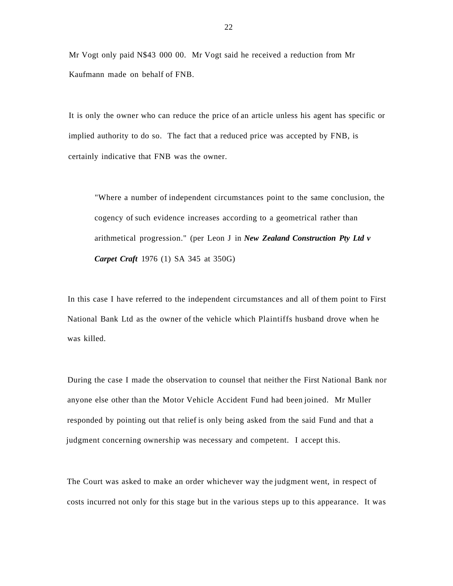Mr Vogt only paid N\$43 000 00. Mr Vogt said he received a reduction from Mr Kaufmann made on behalf of FNB.

It is only the owner who can reduce the price of an article unless his agent has specific or implied authority to do so. The fact that a reduced price was accepted by FNB, is certainly indicative that FNB was the owner.

"Where a number of independent circumstances point to the same conclusion, the cogency of such evidence increases according to a geometrical rather than arithmetical progression." (per Leon J in *New Zealand Construction Pty Ltd v Carpet Craft* 1976 (1) SA 345 at 350G)

In this case I have referred to the independent circumstances and all of them point to First National Bank Ltd as the owner of the vehicle which Plaintiffs husband drove when he was killed.

During the case I made the observation to counsel that neither the First National Bank nor anyone else other than the Motor Vehicle Accident Fund had been joined. Mr Muller responded by pointing out that relief is only being asked from the said Fund and that a judgment concerning ownership was necessary and competent. I accept this.

The Court was asked to make an order whichever way the judgment went, in respect of costs incurred not only for this stage but in the various steps up to this appearance. It was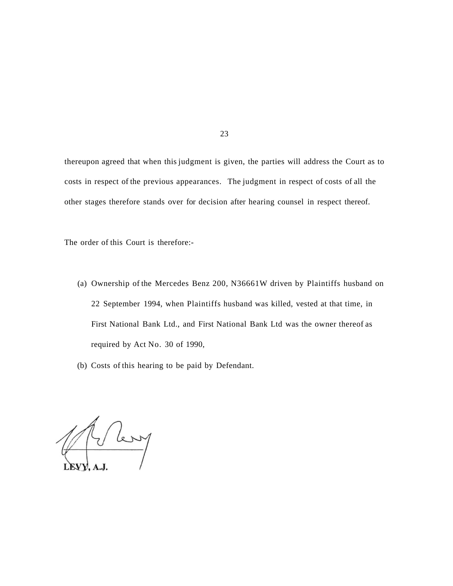thereupon agreed that when this judgment is given, the parties will address the Court as to costs in respect of the previous appearances. The judgment in respect of costs of all the other stages therefore stands over for decision after hearing counsel in respect thereof.

The order of this Court is therefore:-

- (a) Ownership of the Mercedes Benz 200, N36661W driven by Plaintiffs husband on 22 September 1994, when Plaintiffs husband was killed, vested at that time, in First National Bank Ltd., and First National Bank Ltd was the owner thereof as required by Act No. 30 of 1990,
- (b) Costs of this hearing to be paid by Defendant.

Where

23